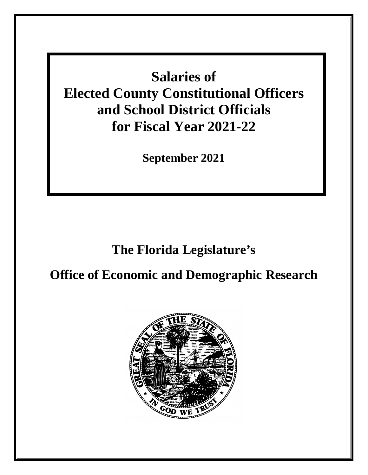**Salaries of Elected County Constitutional Officers and School District Officials for Fiscal Year 2021-22**

**September 2021**

# **The Florida Legislature's**

# **Office of Economic and Demographic Research**

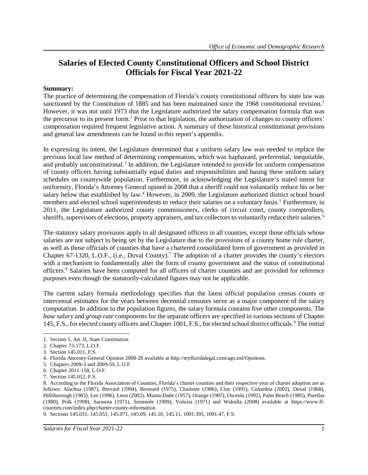# **Salaries of Elected County Constitutional Officers and School District Officials for Fiscal Year 2021-22**

#### **Summary:**

The practice of determining the compensation of Florida's county constitutional officers by state law was sanctioned by the Constitution of [1](#page-2-0)885 and has been maintained since the 1968 constitutional revision.<sup>1</sup> However, it was not until 1973 that the Legislature authorized the salary compensation formula that was the precursor to its present form. [2](#page-2-1) Prior to that legislation, the authorization of changes to county officers' compensation required frequent legislative action. A summary of these historical constitutional provisions and general law amendments can be found in this report's appendix.

In expressing its intent, the Legislature determined that a uniform salary law was needed to replace the previous local law method of determining compensation, which was haphazard, preferential, inequitable, and probably unconstitutional.<sup>[3](#page-2-2)</sup> In addition, the Legislature intended to provide for uniform compensation of county officers having substantially equal duties and responsibilities and basing these uniform salary schedules on countywide population. Furthermore, in acknowledging the Legislature's stated intent for uniformity, Florida's Attorney General opined in 2008 that a sheriff could not voluntarily reduce his or her salary below that established by law.<sup>[4](#page-2-3)</sup> However, in 2009, the Legislature authorized district school board members and elected school superintendents to reduce their salaries on a voluntary basis.<sup>[5](#page-2-4)</sup> Furthermore, in 2011, the Legislature authorized county commissioners, clerks of circuit court, county comptrollers, sheriffs, supervisors of elections, property appraisers, and tax collectors to voluntarily reduce their salaries.<sup>[6](#page-2-5)</sup>

The statutory salary provisions apply to all designated officers in all counties, except those officials whose salaries are not subject to being set by the Legislature due to the provisions of a county home rule charter, as well as those officials of counties that have a chartered consolidated form of government as provided in Chapter 6[7](#page-2-6)-1320, L.O.F., (i.e., Duval County).<sup>7</sup> The adoption of a charter provides the county's electors with a mechanism to fundamentally alter the form of county government and the status of constitutional officers.[8](#page-2-7) Salaries have been computed for all officers of charter counties and are provided for reference purposes even though the statutorily-calculated figures may not be applicable.

The current salary formula methodology specifies that the latest official population census counts or intercensal estimates for the years between decennial censuses serve as a major component of the salary computation. In addition to the population figures, the salary formula contains five other components. The *base salary* and *group rate* components for the separate officers are specified in various sections of Chapter 145, F.S., for elected county officers and Chapter 1001, F.S., for elected school district officials. [9](#page-2-8) The *initial* 

<span id="page-2-0"></span><sup>1.</sup> Section 5, Art. II, State Constitution.

<span id="page-2-1"></span><sup>2.</sup> Chapter 73-173, L.O.F.

<span id="page-2-2"></span><sup>3.</sup> Section 145.011, F.S.

<span id="page-2-3"></span><sup>4.</sup> Florida Attorney General Opinion 2008-28 available at http://myfloridalegal.com/ago.nsf/Opinions.

<span id="page-2-4"></span><sup>5.</sup> Chapters 2009-3 and 2009-59, L.O.F.

<span id="page-2-5"></span><sup>6.</sup> Chapter 2011-158, L.O.F.

<span id="page-2-6"></span><sup>7.</sup> Section 145.012, F.S.

<span id="page-2-7"></span><sup>8.</sup> According to the Florida Association of Counties, Florida's charter counties and their respective year of charter adoption are as follows: Alachua (1987), Brevard (1994), Broward (1975), Charlotte (1986), Clay (1991), Columbia (2002), Duval (1968), Hillsborough (1983), Lee (1996), Leon (2002), Miami-Dade (1957), Orange (1987), Osceola (1992), Palm Beach (1985), Pinellas (1980), Polk (1998), Sarasota (1971), Seminole (1989), Volusia (1971) and Wakulla (2008) available at https://www.flcounties.com/index.php/charter-county-information.

<span id="page-2-8"></span><sup>9.</sup> Sections 145.031, 145.051, 145.071, 145.09, 145.10, 145.11, 1001.395, 1001.47, F.S.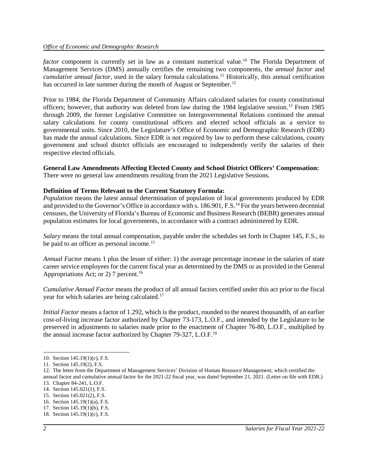factor component is currently set in law as a constant numerical value.<sup>[10](#page-3-0)</sup> The Florida Department of Management Services (DMS) annually certifies the remaining two components, the *annual factor* and *cumulative annual factor*, used in the salary formula calculations. [11](#page-3-1) Historically, this annual certification has occurred in late summer during the month of August or September.<sup>[12](#page-3-2)</sup>

Prior to 1984, the Florida Department of Community Affairs calculated salaries for county constitutional officers; however, that authority was deleted from law during the 1984 legislative session.[13](#page-3-3) From 1985 through 2009, the former Legislative Committee on Intergovernmental Relations continued the annual salary calculations for county constitutional officers and elected school officials as a service to governmental units. Since 2010, the Legislature's Office of Economic and Demographic Research (EDR) has made the annual calculations. Since EDR is not required by law to perform these calculations, county government and school district officials are encouraged to independently verify the salaries of their respective elected officials.

# **General Law Amendments Affecting Elected County and School District Officers' Compensation:**

There were no general law amendments resulting from the 2021 Legislative Sessions.

#### **Definition of Terms Relevant to the Current Statutory Formula:**

*Population* means the latest annual determination of population of local governments produced by EDR and provided to the Governor's Office in accordance with s. 186.901, F.S.<sup>[14](#page-3-4)</sup> For the years between decennial censuses, the University of Florida's Bureau of Economic and Business Research (BEBR) generates annual population estimates for local governments, in accordance with a contract administered by EDR.

*Salary* means the total annual compensation, payable under the schedules set forth in Chapter 145, F.S., to be paid to an officer as personal income.<sup>[15](#page-3-5)</sup>

*Annual Factor* means 1 plus the lesser of either: 1) the average percentage increase in the salaries of state career service employees for the current fiscal year as determined by the DMS or as provided in the General Appropriations Act; or 2) 7 percent.<sup>[16](#page-3-6)</sup>

*Cumulative Annual Factor* means the product of all annual factors certified under this act prior to the fiscal year for which salaries are being calculated.[17](#page-3-7)

*Initial Factor* means a factor of 1.292, which is the product, rounded to the nearest thousandth, of an earlier cost-of-living increase factor authorized by Chapter 73-173, L.O.F., and intended by the Legislature to be preserved in adjustments to salaries made prior to the enactment of Chapter 76-80, L.O.F., multiplied by the annual increase factor authorized by Chapter 79-327, L.O.F.<sup>[18](#page-3-8)</sup>

<span id="page-3-0"></span><sup>10.</sup> Section 145.19(1)(c), F.S.

<span id="page-3-1"></span><sup>11.</sup> Section 145.19(2), F.S.

<span id="page-3-2"></span><sup>12.</sup> The letter from the Department of Management Services' Division of Human Resource Management, which certified the annual factor and cumulative annual factor for the 2021-22 fiscal year, was dated September 21, 2021. (Letter on file with EDR.)

<span id="page-3-3"></span><sup>13.</sup> Chapter 84-241, L.O.F.

<span id="page-3-4"></span><sup>14.</sup> Section 145.021(1), F.S.

<span id="page-3-5"></span><sup>15.</sup> Section 145.021(2), F.S.

<span id="page-3-6"></span><sup>16.</sup> Section 145.19(1)(a), F.S.

<span id="page-3-7"></span><sup>17.</sup> Section 145.19(1)(b), F.S.

<span id="page-3-8"></span><sup>18.</sup> Section 145.19(1)(c), F.S.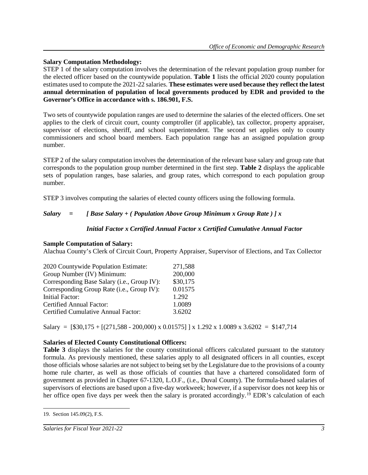## **Salary Computation Methodology:**

STEP 1 of the salary computation involves the determination of the relevant population group number for the elected officer based on the countywide population. **Table 1** lists the official 2020 county population estimates used to compute the 2021-22 salaries. **These estimates were used because they reflect the latest annual determination of population of local governments produced by EDR and provided to the Governor's Office in accordance with s. 186.901, F.S.**

Two sets of countywide population ranges are used to determine the salaries of the elected officers. One set applies to the clerk of circuit court, county comptroller (if applicable), tax collector, property appraiser, supervisor of elections, sheriff, and school superintendent. The second set applies only to county commissioners and school board members. Each population range has an assigned population group number.

STEP 2 of the salary computation involves the determination of the relevant base salary and group rate that corresponds to the population group number determined in the first step. **Table 2** displays the applicable sets of population ranges, base salaries, and group rates, which correspond to each population group number.

STEP 3 involves computing the salaries of elected county officers using the following formula.

# *Salary = [ Base Salary + ( Population Above Group Minimum x Group Rate ) ] x*

## *Initial Factor x Certified Annual Factor x Certified Cumulative Annual Factor*

### **Sample Computation of Salary:**

Alachua County's Clerk of Circuit Court, Property Appraiser, Supervisor of Elections, and Tax Collector

| 2020 Countywide Population Estimate:        | 271,588  |
|---------------------------------------------|----------|
| Group Number (IV) Minimum:                  | 200,000  |
| Corresponding Base Salary (i.e., Group IV): | \$30,175 |
| Corresponding Group Rate (i.e., Group IV):  | 0.01575  |
| <b>Initial Factor:</b>                      | 1.292    |
| Certified Annual Factor:                    | 1.0089   |
| Certified Cumulative Annual Factor:         | 3.6202   |

Salary =  $[$30,175 + [(271,588 - 200,000) \times 0.01575] \times 1.292 \times 1.0089 \times 3.6202 = $147,714$ 

# **Salaries of Elected County Constitutional Officers:**

**Table 3** displays the salaries for the county constitutional officers calculated pursuant to the statutory formula. As previously mentioned, these salaries apply to all designated officers in all counties, except those officials whose salaries are not subject to being set by the Legislature due to the provisions of a county home rule charter, as well as those officials of counties that have a chartered consolidated form of government as provided in Chapter 67-1320, L.O.F., (i.e., Duval County). The formula-based salaries of supervisors of elections are based upon a five-day workweek; however, if a supervisor does not keep his or her office open five days per week then the salary is prorated accordingly.<sup>[19](#page-4-0)</sup> EDR's calculation of each

<span id="page-4-0"></span> $\overline{a}$ 19. Section 145.09(2), F.S.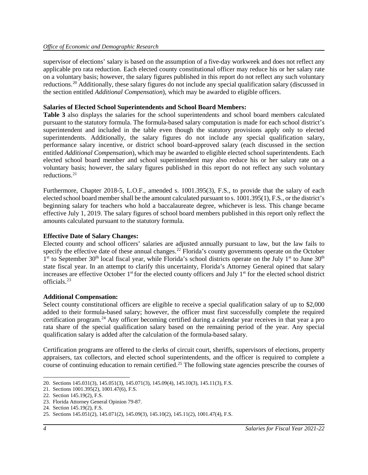supervisor of elections' salary is based on the assumption of a five-day workweek and does not reflect any applicable pro rata reduction. Each elected county constitutional officer may reduce his or her salary rate on a voluntary basis; however, the salary figures published in this report do not reflect any such voluntary reductions.<sup>[20](#page-5-0)</sup> Additionally, these salary figures do not include any special qualification salary (discussed in the section entitled *Additional Compensation*), which may be awarded to eligible officers.

### **Salaries of Elected School Superintendents and School Board Members:**

**Table 3** also displays the salaries for the school superintendents and school board members calculated pursuant to the statutory formula. The formula-based salary computation is made for each school district's superintendent and included in the table even though the statutory provisions apply only to elected superintendents. Additionally, the salary figures do not include any special qualification salary, performance salary incentive, or district school board-approved salary (each discussed in the section entitled *Additional Compensation*), which may be awarded to eligible elected school superintendents. Each elected school board member and school superintendent may also reduce his or her salary rate on a voluntary basis; however, the salary figures published in this report do not reflect any such voluntary reductions. [21](#page-5-1)

Furthermore, Chapter 2018-5, L.O.F., amended s. 1001.395(3), F.S., to provide that the salary of each elected school board member shall be the amount calculated pursuant to s. 1001.395(1), F.S., or the district's beginning salary for teachers who hold a baccalaureate degree, whichever is less. This change became effective July 1, 2019. The salary figures of school board members published in this report only reflect the amounts calculated pursuant to the statutory formula.

### **Effective Date of Salary Changes:**

Elected county and school officers' salaries are adjusted annually pursuant to law, but the law fails to specify the effective date of these annual changes.<sup>[22](#page-5-2)</sup> Florida's county governments operate on the October  $1<sup>st</sup>$  to September 30<sup>th</sup> local fiscal year, while Florida's school districts operate on the July  $1<sup>st</sup>$  to June 30<sup>th</sup> state fiscal year. In an attempt to clarify this uncertainty, Florida's Attorney General opined that salary increases are effective October  $1<sup>st</sup>$  for the elected county officers and July  $1<sup>st</sup>$  for the elected school district officials. [23](#page-5-3)

#### **Additional Compensation:**

Select county constitutional officers are eligible to receive a special qualification salary of up to \$2,000 added to their formula-based salary; however, the officer must first successfully complete the required certification program.[24](#page-5-4) Any officer becoming certified during a calendar year receives in that year a pro rata share of the special qualification salary based on the remaining period of the year. Any special qualification salary is added after the calculation of the formula-based salary.

Certification programs are offered to the clerks of circuit court, sheriffs, supervisors of elections, property appraisers, tax collectors, and elected school superintendents, and the officer is required to complete a course of continuing education to remain certified.<sup>[25](#page-5-5)</sup> The following state agencies prescribe the courses of

<span id="page-5-0"></span><sup>20.</sup> Sections 145.031(3), 145.051(3), 145.071(3), 145.09(4), 145.10(3), 145.11(3), F.S.

<span id="page-5-1"></span><sup>21.</sup> Sections 1001.395(2), 1001.47(6), F.S.

<span id="page-5-2"></span><sup>22.</sup> Section 145.19(2), F.S.

<span id="page-5-3"></span><sup>23.</sup> Florida Attorney General Opinion 79-87.

<span id="page-5-4"></span><sup>24.</sup> Section 145.19(2), F.S.

<span id="page-5-5"></span><sup>25.</sup> Sections 145.051(2), 145.071(2), 145.09(3), 145.10(2), 145.11(2), 1001.47(4), F.S.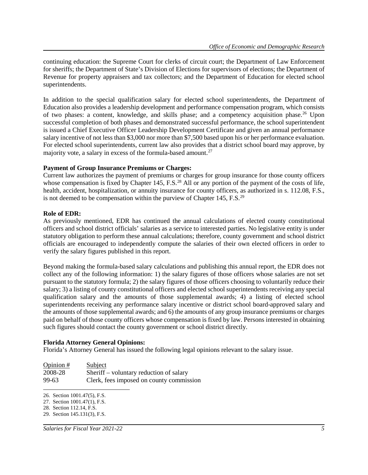continuing education: the Supreme Court for clerks of circuit court; the Department of Law Enforcement for sheriffs; the Department of State's Division of Elections for supervisors of elections; the Department of Revenue for property appraisers and tax collectors; and the Department of Education for elected school superintendents.

In addition to the special qualification salary for elected school superintendents, the Department of Education also provides a leadership development and performance compensation program, which consists of two phases: a content, knowledge, and skills phase; and a competency acquisition phase.<sup>[26](#page-6-0)</sup> Upon successful completion of both phases and demonstrated successful performance, the school superintendent is issued a Chief Executive Officer Leadership Development Certificate and given an annual performance salary incentive of not less than \$3,000 nor more than \$7,500 based upon his or her performance evaluation. For elected school superintendents, current law also provides that a district school board may approve, by majority vote, a salary in excess of the formula-based amount.<sup>[27](#page-6-1)</sup>

#### **Payment of Group Insurance Premiums or Charges:**

Current law authorizes the payment of premiums or charges for group insurance for those county officers whose compensation is fixed by Chapter 145, F.S.<sup>[28](#page-6-2)</sup> All or any portion of the payment of the costs of life, health, accident, hospitalization, or annuity insurance for county officers, as authorized in s. 112.08, F.S., is not deemed to be compensation within the purview of Chapter 145, F.S.<sup>[29](#page-6-3)</sup>

#### **Role of EDR:**

As previously mentioned, EDR has continued the annual calculations of elected county constitutional officers and school district officials' salaries as a service to interested parties. No legislative entity is under statutory obligation to perform these annual calculations; therefore, county government and school district officials are encouraged to independently compute the salaries of their own elected officers in order to verify the salary figures published in this report.

Beyond making the formula-based salary calculations and publishing this annual report, the EDR does not collect any of the following information: 1) the salary figures of those officers whose salaries are not set pursuant to the statutory formula; 2) the salary figures of those officers choosing to voluntarily reduce their salary; 3) a listing of county constitutional officers and elected school superintendents receiving any special qualification salary and the amounts of those supplemental awards; 4) a listing of elected school superintendents receiving any performance salary incentive or district school board-approved salary and the amounts of those supplemental awards; and 6) the amounts of any group insurance premiums or charges paid on behalf of those county officers whose compensation is fixed by law. Persons interested in obtaining such figures should contact the county government or school district directly.

#### **Florida Attorney General Opinions:**

Florida's Attorney General has issued the following legal opinions relevant to the salary issue.

| Opinion $#$ | Subject                                  |
|-------------|------------------------------------------|
| 2008-28     | Sheriff – voluntary reduction of salary  |
| 99-63       | Clerk, fees imposed on county commission |

<span id="page-6-0"></span> $\overline{a}$ 26. Section 1001.47(5), F.S.

<span id="page-6-1"></span><sup>27.</sup> Section 1001.47(1), F.S.

<span id="page-6-2"></span><sup>28.</sup> Section 112.14, F.S.

<span id="page-6-3"></span><sup>29.</sup> Section 145.131(3), F.S.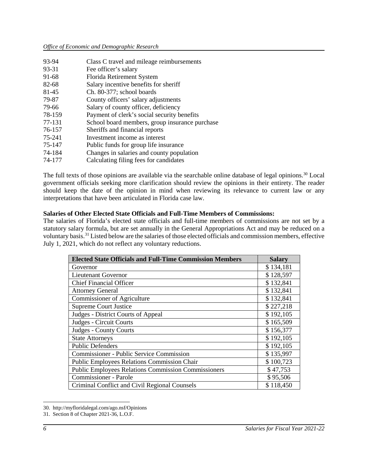| 93-94  | Class C travel and mileage reimbursements      |
|--------|------------------------------------------------|
| 93-31  | Fee officer's salary                           |
| 91-68  | Florida Retirement System                      |
| 82-68  | Salary incentive benefits for sheriff          |
| 81-45  | Ch. 80-377; school boards                      |
| 79-87  | County officers' salary adjustments            |
| 79-66  | Salary of county officer, deficiency           |
| 78-159 | Payment of clerk's social security benefits    |
| 77-131 | School board members, group insurance purchase |
| 76-157 | Sheriffs and financial reports                 |
| 75-241 | Investment income as interest                  |
| 75-147 | Public funds for group life insurance          |
| 74-184 | Changes in salaries and county population      |
| 74-177 | Calculating filing fees for candidates         |

The full texts of those opinions are available via the searchable online database of legal opinions.<sup>[30](#page-7-0)</sup> Local government officials seeking more clarification should review the opinions in their entirety. The reader should keep the date of the opinion in mind when reviewing its relevance to current law or any interpretations that have been articulated in Florida case law.

#### **Salaries of Other Elected State Officials and Full-Time Members of Commissions:**

The salaries of Florida's elected state officials and full-time members of commissions are not set by a statutory salary formula, but are set annually in the General Appropriations Act and may be reduced on a voluntary basis. [31](#page-7-1) Listed below are the salaries of those elected officials and commission members, effective July 1, 2021, which do not reflect any voluntary reductions.

| <b>Elected State Officials and Full-Time Commission Members</b> | <b>Salary</b> |  |  |  |  |
|-----------------------------------------------------------------|---------------|--|--|--|--|
| Governor                                                        | \$134,181     |  |  |  |  |
| Lieutenant Governor                                             | \$128,597     |  |  |  |  |
| <b>Chief Financial Officer</b>                                  | \$132,841     |  |  |  |  |
| <b>Attorney General</b>                                         | \$132,841     |  |  |  |  |
| <b>Commissioner of Agriculture</b>                              | \$132,841     |  |  |  |  |
| <b>Supreme Court Justice</b>                                    | \$227,218     |  |  |  |  |
| Judges - District Courts of Appeal                              | \$192,105     |  |  |  |  |
| Judges - Circuit Courts                                         | \$165,509     |  |  |  |  |
| <b>Judges - County Courts</b>                                   | \$156,377     |  |  |  |  |
| <b>State Attorneys</b>                                          | \$192,105     |  |  |  |  |
| <b>Public Defenders</b>                                         | \$192,105     |  |  |  |  |
| <b>Commissioner - Public Service Commission</b>                 | \$135,997     |  |  |  |  |
| <b>Public Employees Relations Commission Chair</b>              | \$100,723     |  |  |  |  |
| <b>Public Employees Relations Commission Commissioners</b>      | \$47,753      |  |  |  |  |
| <b>Commissioner - Parole</b>                                    | \$95,506      |  |  |  |  |
| Criminal Conflict and Civil Regional Counsels                   | \$118,450     |  |  |  |  |

<span id="page-7-0"></span><sup>30.</sup> http://myfloridalegal.com/ago.nsf/Opinions

<span id="page-7-1"></span><sup>31.</sup> Section 8 of Chapter 2021-36, L.O.F.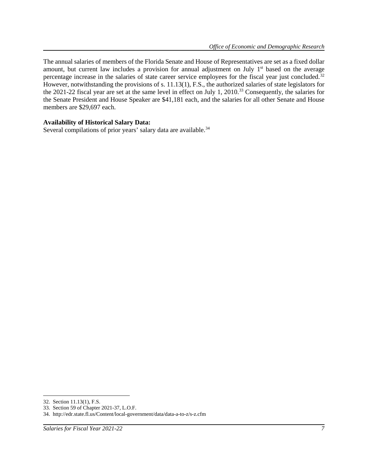The annual salaries of members of the Florida Senate and House of Representatives are set as a fixed dollar amount, but current law includes a provision for annual adjustment on July 1<sup>st</sup> based on the average percentage increase in the salaries of state career service employees for the fiscal year just concluded.[32](#page-8-0) However, notwithstanding the provisions of s. 11.13(1), F.S., the authorized salaries of state legislators for the 2021-22 fiscal year are set at the same level in effect on July 1, 2010.<sup>[33](#page-8-1)</sup> Consequently, the salaries for the Senate President and House Speaker are \$41,181 each, and the salaries for all other Senate and House members are \$29,697 each.

#### **Availability of Historical Salary Data:**

Several compilations of prior years' salary data are available.<sup>[34](#page-8-2)</sup>

<span id="page-8-0"></span><sup>32.</sup> Section 11.13(1), F.S.

<span id="page-8-1"></span><sup>33.</sup> Section 59 of Chapter 2021-37, L.O.F.

<span id="page-8-2"></span><sup>34.</sup> http://edr.state.fl.us/Content/local-government/data/data-a-to-z/s-z.cfm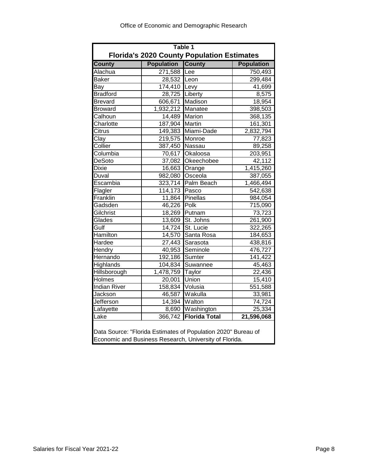| Table 1                                                                                                                 |                          |                                                   |                   |  |  |  |  |  |  |
|-------------------------------------------------------------------------------------------------------------------------|--------------------------|---------------------------------------------------|-------------------|--|--|--|--|--|--|
|                                                                                                                         |                          | <b>Florida's 2020 County Population Estimates</b> |                   |  |  |  |  |  |  |
| <b>County</b>                                                                                                           | <b>Population County</b> |                                                   | <b>Population</b> |  |  |  |  |  |  |
| Alachua                                                                                                                 | 271,588                  | Lee                                               | 750,493           |  |  |  |  |  |  |
| <b>Baker</b>                                                                                                            | 28,532                   | Leon                                              | 299,484           |  |  |  |  |  |  |
| Bay                                                                                                                     | 174,410 Levy             |                                                   | 41,699            |  |  |  |  |  |  |
| <b>Bradford</b>                                                                                                         | 28,725                   | Liberty                                           | 8,575             |  |  |  |  |  |  |
| <b>Brevard</b>                                                                                                          | 606,671                  | Madison<br>18,954                                 |                   |  |  |  |  |  |  |
| <b>Broward</b>                                                                                                          | 1,932,212                | Manatee                                           | 398,503           |  |  |  |  |  |  |
| Calhoun                                                                                                                 | 14,489                   | Marion                                            | 368,135           |  |  |  |  |  |  |
| Charlotte                                                                                                               | 187,904                  | <b>Martin</b>                                     | 161,301           |  |  |  |  |  |  |
| <b>Citrus</b>                                                                                                           | 149,383                  | Miami-Dade                                        | 2,832,794         |  |  |  |  |  |  |
| Clay                                                                                                                    | 219,575                  | Monroe                                            | 77,823            |  |  |  |  |  |  |
| Collier                                                                                                                 | 387,450                  | Nassau                                            | 89,258            |  |  |  |  |  |  |
| Columbia                                                                                                                | 70,617                   | Okaloosa                                          | 203,951           |  |  |  |  |  |  |
| <b>DeSoto</b>                                                                                                           | 37,082                   | Okeechobee                                        | 42,112            |  |  |  |  |  |  |
| <b>Dixie</b>                                                                                                            | 16,663                   | Orange                                            | 1,415,260         |  |  |  |  |  |  |
| Duval                                                                                                                   | 982,080                  | Osceola                                           | 387,055           |  |  |  |  |  |  |
| Escambia                                                                                                                | 323,714                  | Palm Beach                                        | 1,466,494         |  |  |  |  |  |  |
| Flagler                                                                                                                 | 114,173                  | Pasco                                             | 542,638           |  |  |  |  |  |  |
| Franklin                                                                                                                | 11,864                   | Pinellas                                          | 984,054           |  |  |  |  |  |  |
| Gadsden                                                                                                                 | 46,226                   | Polk                                              | 715,090           |  |  |  |  |  |  |
| Gilchrist                                                                                                               | 18,269                   | Putnam                                            | 73,723            |  |  |  |  |  |  |
| Glades                                                                                                                  | 13,609                   | St. Johns                                         | 261,900           |  |  |  |  |  |  |
| Gulf                                                                                                                    | 14,724                   | St. Lucie                                         | 322,265           |  |  |  |  |  |  |
| Hamilton                                                                                                                | 14,570                   | Santa Rosa                                        | 184,653           |  |  |  |  |  |  |
| Hardee                                                                                                                  | 27,443                   | Sarasota                                          | 438,816           |  |  |  |  |  |  |
| Hendry                                                                                                                  | 40,953                   | Seminole                                          | 476,727           |  |  |  |  |  |  |
| Hernando                                                                                                                | 192,186                  | Sumter                                            | 141,422           |  |  |  |  |  |  |
| <b>Highlands</b>                                                                                                        | 104,834                  | Suwannee                                          | 45,463            |  |  |  |  |  |  |
| Hillsborough                                                                                                            | 1,478,759                | <b>Taylor</b>                                     | 22,436            |  |  |  |  |  |  |
| Holmes                                                                                                                  | 20,001                   | Union                                             | 15,410            |  |  |  |  |  |  |
| <b>Indian River</b>                                                                                                     | 158,834                  | Volusia                                           | 551,588           |  |  |  |  |  |  |
| Jackson                                                                                                                 | 46,587                   | Wakulla                                           | 33,981            |  |  |  |  |  |  |
| Jefferson                                                                                                               | 14,394                   | Walton                                            | 74,724            |  |  |  |  |  |  |
| Lafayette                                                                                                               | 8,690                    | Washington                                        | 25,334            |  |  |  |  |  |  |
| Lake                                                                                                                    | 366,742                  | <b>Florida Total</b>                              | 21,596,068        |  |  |  |  |  |  |
| Data Source: "Florida Estimates of Population 2020" Bureau of<br>Economic and Business Research, University of Florida. |                          |                                                   |                   |  |  |  |  |  |  |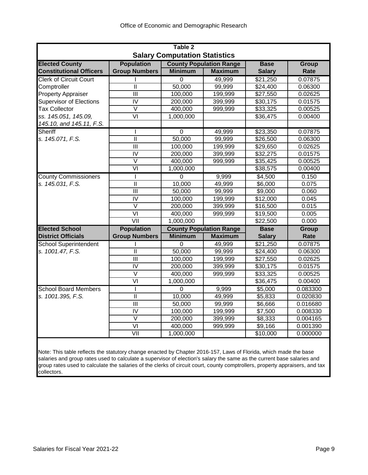| Table 2                              |                           |                |                                |                      |              |  |  |  |  |  |  |  |
|--------------------------------------|---------------------------|----------------|--------------------------------|----------------------|--------------|--|--|--|--|--|--|--|
| <b>Salary Computation Statistics</b> |                           |                |                                |                      |              |  |  |  |  |  |  |  |
| <b>Elected County</b>                | <b>Population</b>         |                | <b>County Population Range</b> | <b>Base</b>          | <b>Group</b> |  |  |  |  |  |  |  |
| <b>Constitutional Officers</b>       | <b>Group Numbers</b>      | <b>Minimum</b> | <b>Maximum</b>                 | <b>Salary</b>        | Rate         |  |  |  |  |  |  |  |
| <b>Clerk of Circuit Court</b>        |                           | 0              | 49,999                         | \$21,250             | 0.07875      |  |  |  |  |  |  |  |
| Comptroller                          | Ш                         | 50,000         | 99,999                         | \$24,400             | 0.06300      |  |  |  |  |  |  |  |
| <b>Property Appraiser</b>            | $\overline{III}$          | 100,000        | 199,999                        | \$27,550             | 0.02625      |  |  |  |  |  |  |  |
| <b>Supervisor of Elections</b>       | $\overline{\mathsf{N}}$   | 200,000        | 399,999                        | \$30,175             | 0.01575      |  |  |  |  |  |  |  |
| <b>Tax Collector</b>                 | $\overline{\mathsf{V}}$   | 400,000        | 999,999                        | \$33,325             | 0.00525      |  |  |  |  |  |  |  |
| ss. 145.051, 145.09,                 | $\overline{VI}$           | 1,000,000      |                                | \$36,475             | 0.00400      |  |  |  |  |  |  |  |
| 145.10, and 145.11, F.S.             |                           |                |                                |                      |              |  |  |  |  |  |  |  |
| Sheriff                              | ı                         | $\overline{0}$ | 49,999                         | \$23,350             | 0.07875      |  |  |  |  |  |  |  |
| s. 145.071, F.S.                     | $\mathbf{II}$             | 50,000         | 99,999                         | \$26,500             | 0.06300      |  |  |  |  |  |  |  |
|                                      | $\overline{\mathbb{H}}$   | 100,000        | 199,999                        | \$29,650             | 0.02625      |  |  |  |  |  |  |  |
|                                      | $\overline{\text{IV}}$    | 200,000        | 399,999                        | $\overline{$}32,275$ | 0.01575      |  |  |  |  |  |  |  |
|                                      | $\vee$                    | 400,000        | 999,999                        | \$35,425             | 0.00525      |  |  |  |  |  |  |  |
|                                      | $\overline{\mathsf{V}}$   | 1,000,000      |                                | 38,575               | 0.00400      |  |  |  |  |  |  |  |
| <b>County Commissioners</b>          | T                         | $\Omega$       | 9,999                          | \$4,500              | 0.150        |  |  |  |  |  |  |  |
| s. 145.031, F.S.                     | $\overline{\mathbb{I}}$   | 10,000         | 49,999                         | \$6,000              | 0.075        |  |  |  |  |  |  |  |
|                                      | Ш                         | 50,000         | 99,999                         | \$9,000              | 0.060        |  |  |  |  |  |  |  |
|                                      | $\overline{N}$            | 100,000        | 199,999                        | \$12,000             | 0.045        |  |  |  |  |  |  |  |
|                                      | $\vee$                    | 200,000        | 399,999                        | \$16,500             | 0.015        |  |  |  |  |  |  |  |
|                                      | $\overline{\mathsf{VI}}$  | 400,000        | 999,999                        | \$19,500             | 0.005        |  |  |  |  |  |  |  |
|                                      | VII                       | 1,000,000      |                                | \$22,500             | 0.000        |  |  |  |  |  |  |  |
| <b>Elected School</b>                | <b>Population</b>         |                | <b>County Population Range</b> | <b>Base</b>          | <b>Group</b> |  |  |  |  |  |  |  |
| <b>District Officials</b>            | <b>Group Numbers</b>      | <b>Minimum</b> | <b>Maximum</b>                 | <b>Salary</b>        | Rate         |  |  |  |  |  |  |  |
| <b>School Superintendent</b>         |                           | 0              | 49,999                         | \$21,250             | 0.07875      |  |  |  |  |  |  |  |
| s. 1001.47, F.S.                     | Ш                         | 50,000         | 99,999                         | \$24,400             | 0.06300      |  |  |  |  |  |  |  |
|                                      | III                       | 100,000        | 199,999                        | \$27,550             | 0.02625      |  |  |  |  |  |  |  |
|                                      | $\overline{N}$            | 200,000        | 399,999                        | \$30,175             | 0.01575      |  |  |  |  |  |  |  |
|                                      | $\vee$                    | 400,000        | 999,999                        | \$33,325             | 0.00525      |  |  |  |  |  |  |  |
|                                      | $\overline{\mathsf{v}}$   | 1,000,000      |                                | 36,475               | 0.00400      |  |  |  |  |  |  |  |
| <b>School Board Members</b>          | ı                         | 0              | 9,999                          | \$5,000              | 0.083300     |  |  |  |  |  |  |  |
| s. 1001.395, F.S.                    | $\mathbf{II}$             | 10,000         | 49,999                         | \$5,833              | 0.020830     |  |  |  |  |  |  |  |
|                                      | $\overline{\mathsf{III}}$ | 50,000         | 99,999                         | \$6,666              | 0.016680     |  |  |  |  |  |  |  |
|                                      | IV                        | 100,000        | 199,999                        | \$7,500              | 0.008330     |  |  |  |  |  |  |  |
|                                      | $\vee$                    | 200,000        | 399,999                        | \$8,333              | 0.004165     |  |  |  |  |  |  |  |
|                                      | $\overline{\mathsf{V}}$   | 400,000        | 999,999                        | \$9,166              | 0.001390     |  |  |  |  |  |  |  |
|                                      | $\overline{\text{V}}$     | 1,000,000      |                                | \$10,000             | 0.000000     |  |  |  |  |  |  |  |
|                                      |                           |                |                                |                      |              |  |  |  |  |  |  |  |

Note: This table reflects the statutory change enacted by Chapter 2016-157, Laws of Florida, which made the base salaries and group rates used to calculate a supervisor of election's salary the same as the current base salaries and group rates used to calculate the salaries of the clerks of circuit court, county comptrollers, property appraisers, and tax collectors.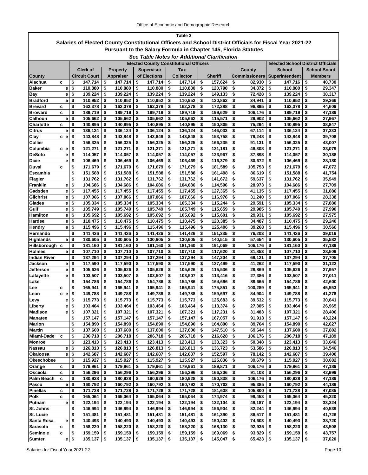| Table 3                                                                                                  |        |                                               |                                |                                              |          |                    |          |                    |          |                      |                                |          |                                          |
|----------------------------------------------------------------------------------------------------------|--------|-----------------------------------------------|--------------------------------|----------------------------------------------|----------|--------------------|----------|--------------------|----------|----------------------|--------------------------------|----------|------------------------------------------|
| Salaries of Elected County Constitutional Officers and School District Officials for Fiscal Year 2021-22 |        |                                               |                                |                                              |          |                    |          |                    |          |                      |                                |          |                                          |
| <b>Pursuant to the Salary Formula in Chapter 145, Florida Statutes</b>                                   |        |                                               |                                |                                              |          |                    |          |                    |          |                      |                                |          |                                          |
|                                                                                                          |        |                                               |                                | See Table Notes for Additional Clarification |          |                    |          |                    |          |                      |                                |          |                                          |
|                                                                                                          |        | <b>Elected County Constitutional Officers</b> |                                |                                              |          |                    |          |                    |          |                      |                                |          | <b>Elected School District Officials</b> |
|                                                                                                          |        | <b>Clerk of</b>                               | <b>Property</b>                | <b>Supervisor</b>                            |          | Tax                |          |                    |          | County               | <b>School</b>                  |          | <b>School Board</b>                      |
| <b>County</b>                                                                                            |        | <b>Circuit Court</b>                          | <b>Appraiser</b>               | of Elections                                 |          | <b>Collector</b>   |          | <b>Sheriff</b>     |          | <b>Commissioners</b> | <b>Superintendent</b>          |          | Members                                  |
| Alachua                                                                                                  | c      | \$<br>147,714                                 | \$<br>147,714                  | \$<br>147,714                                | \$       | 147,714            | \$       | 157,624            | \$       | 82,930               | \$<br>147,716                  | \$       | 40,730                                   |
| Baker                                                                                                    | е      | \$<br>110,880                                 | \$<br>110,880                  | \$<br>110,880                                | \$       | 110,880            | \$       | 120,790            | \$       | 34,872               | \$<br>110,880                  | \$       | 29,347                                   |
| Bay                                                                                                      | е      | \$<br>139,224                                 | \$<br>139,224                  | \$<br>139,224                                | \$       | 139,224            | \$       | 149,133            | \$       | 72,428               | \$<br>139,224                  | \$       | 38,317                                   |
| <b>Bradford</b>                                                                                          | е      | \$<br>110,952                                 | \$<br>110,952                  | \$<br>110,952                                | \$       | 110,952            | \$       | 120,862            | \$       | 34,941               | \$<br>110,952                  | \$       | 29,366                                   |
| Brevard                                                                                                  | с      | \$<br>162,378                                 | \$<br>162,378                  | \$<br>162,378                                | \$       | 162,378            | \$       | 172,288            | \$       | 96,895               | \$<br>162,378                  | \$       | 44,609                                   |
| <b>Broward</b>                                                                                           | c      | \$<br>189,719                                 | \$<br>189,719                  | \$<br>189,719                                | \$       | 189,719            | \$       | 199,629            | \$       | 106,176              | \$<br>189,719                  | \$       | 47,189                                   |
| Calhoun                                                                                                  | е      | \$<br>105,662                                 | \$<br>105,662                  | \$<br>105,662                                | \$       | 105,662            | \$       | 115,571            | \$       | 29,902               | \$<br>105,662                  | \$       | 27,967                                   |
| Charlotte                                                                                                | C      | \$<br>140,895                                 | \$<br>140,895                  | \$<br>140,895                                | \$       | 140,895            | \$       | 150,805            | \$       | 75,294               | \$<br>140,895                  | \$       | 38,847                                   |
| Citrus                                                                                                   | е      | \$<br>136,124                                 | \$<br>136,124                  | \$<br>136,124                                | \$       | 136,124            | \$       | 146,033            | \$       | 67,114               | \$<br>136,124                  | \$       | 37,333                                   |
| Clay                                                                                                     | c e    | \$<br>143,848                                 | \$<br>143,848                  | \$<br>143,848                                | \$       | 143,848            | \$       | 153,758            | \$       | 79,248               | \$<br>143,848                  | \$       | 39,708                                   |
| Collier                                                                                                  |        | \$<br>156,325                                 | \$<br>156,325                  | \$<br>156,325                                | \$       | 156,325            | \$       | 166,235            | \$       | 91,131               | \$<br>156,325                  | \$       | 43,007                                   |
| Columbia                                                                                                 | c e    | \$<br>121,271                                 | \$<br>121,271                  | \$<br>121,271                                | \$       | 121,271            | \$       | 131,181            | \$       | 48,308               | \$<br>121,271                  | \$       | 33,079                                   |
| <b>DeSoto</b>                                                                                            | е      | \$<br>114,057                                 | \$<br>114,057                  | \$<br>114.057                                | \$       | 114,057            | \$       | 123,967            | \$       | 37,898               | \$<br>114,057                  | \$       | 30,188                                   |
| Dixie<br>Duval                                                                                           | е<br>C | \$<br>106,469<br>\$<br>171,679                | \$<br>106,469<br>\$<br>171,679 | \$<br>106,469<br>\$<br>171,679               | \$<br>\$ | 106,469<br>171,679 | \$<br>\$ | 116,379<br>181,589 | \$<br>\$ | 30,672<br>105,753    | \$<br>106,469<br>\$<br>171,679 | \$<br>\$ | 28,180<br>47,072                         |
| Escambia                                                                                                 |        | \$<br>151,588                                 | \$<br>151,588                  | \$<br>151,588                                | \$       | 151,588            | \$       | 161,498            | \$       | 86,619               | \$<br>151,588                  | \$       | 41,754                                   |
| Flagler                                                                                                  |        | \$<br>131,762                                 | \$<br>131,762                  | 131,762<br>\$                                | \$       | 131,762            | \$       | 141,672            | \$       | 59,637               | \$<br>131,762                  | \$       | 35,949                                   |
| Franklin                                                                                                 | е      | \$<br>104,686                                 | \$<br>104,686                  | \$<br>104,686                                | \$       | 104,686            | \$       | 114,596            | \$       | 28,973               | \$<br>104,686                  | \$       | 27,709                                   |
| Gadsden                                                                                                  | е      | \$<br>117,455                                 | \$<br>117,455                  | \$<br>117,455                                | \$       | 117,455            | \$       | 127,365            | \$       | 41,135               | \$<br>117,455                  | \$       | 31,086                                   |
| Gilchrist                                                                                                | е      | \$<br>107,066                                 | \$<br>107,066                  | \$<br>107,066                                | \$       | 107,066            | \$       | 116,976            | \$       | 31,240               | \$<br>107,066                  | \$       | 28,338                                   |
| Glades                                                                                                   | е      | \$<br>105,334                                 | \$<br>105,334                  | \$<br>105,334                                | \$       | 105,334            | \$       | 115,244            | \$       | 29,591               | \$<br>105,334                  | \$       | 27,880                                   |
| Gulf                                                                                                     | е      | \$<br>105,749                                 | \$<br>105,749                  | \$<br>105,749                                | \$       | 105,749            | \$       | 115,659            | \$       | 29,985               | \$<br>105,749                  | \$       | 27,990                                   |
| Hamilton                                                                                                 | е      | \$<br>105,692                                 | \$<br>105,692                  | \$<br>105,692                                | \$       | 105,692            | \$       | 115,601            | \$       | 29,931               | \$<br>105,692                  | \$       | 27,975                                   |
| Hardee                                                                                                   | е      | \$<br>110,475                                 | \$<br>110,475                  | \$<br>110,475                                | \$       | 110,475            | \$       | 120,385            | \$       | 34,487               | \$<br>110,475                  | \$       | 29,240                                   |
| Hendry                                                                                                   | e.     | \$<br>115,496                                 | \$<br>115,496                  | \$<br>115,496                                | \$       | 115,496            | \$       | 125,406            | \$       | 39,268               | \$<br>115,496                  | \$       | 30,568                                   |
| Hernando                                                                                                 |        | \$<br>141,426                                 | \$<br>141,426                  | \$<br>141,426                                | \$       | 141,426            | \$       | 151,335            | \$       | 76,203               | \$<br>141,426                  | \$       | 39,016                                   |
| Highlands                                                                                                | е      | \$<br>130,605                                 | \$<br>130,605                  | \$<br>130,605                                | \$       | 130,605            | \$       | 140,515            | \$       | 57,654               | \$<br>130,605                  | \$       | 35,582                                   |
| Hillsborough c                                                                                           |        | \$<br>181,160                                 | \$<br>181,160                  | \$<br>181,160                                | \$       | 181,160            | \$       | 191,069            | \$       | 106,176              | \$<br>181,160                  | \$       | 47,189                                   |
| Holmes                                                                                                   | е      | \$<br>107,710                                 | \$<br>107,710                  | \$<br>107,710                                | \$       | 107,710            | \$       | 117,620            | \$       | 31,853               | \$<br>107,710                  | \$       | 28,509                                   |
| Indian River                                                                                             |        | \$<br>137,294                                 | \$<br>137,294                  | \$<br>137,294                                | \$       | 137,294            | \$       | 147,204            | \$       | 69,121               | \$<br>137,294                  | \$       | 37,705                                   |
| Jackson                                                                                                  | e      | \$<br>117,590                                 | \$<br>117,590                  | \$<br>117,590                                | \$       | 117,590            | \$       | 127,499            | \$       | 41,262               | \$<br>117,590                  | \$       | 31,122                                   |
| Jefferson                                                                                                | е      | \$<br>105,626                                 | \$<br>105,626                  | \$<br>105,626                                | \$       | 105,626            | \$       | 115,536            | \$       | 29,869               | \$<br>105,626                  | \$       | 27,957                                   |
| Lafayette                                                                                                | е      | \$<br>103,507                                 | \$<br>103,507                  | \$<br>103,507                                | \$       | 103,507            | \$       | 113,416            | \$       | 27,386               | \$<br>103,507                  | \$       | 27,011                                   |
| Lake                                                                                                     |        | \$<br>154,786                                 | \$<br>154.786                  | \$<br>154,786                                | \$       | 154,786            | \$       | 164,696            | \$       | 89,665               | \$<br>154,786                  | \$       | 42,600                                   |
| Lee                                                                                                      | c      | \$<br>165,941                                 | \$<br>165,941                  | \$<br>165,941                                | \$       | 165,941            | \$       | 175,851            | \$       | 100,289              | \$<br>165,941                  | \$       | 45,553                                   |
| ∟eon                                                                                                     | c<br>e | \$<br>149,788                                 | \$<br>149,788                  | \$<br>149,788                                | \$       | 149,788            | \$       | 159,697            | \$       | 84,904               | \$<br>149,788                  | \$       | 41,278                                   |
| Levy                                                                                                     | е      | \$<br>115,773<br>103,464                      | \$<br>115,773                  | \$<br>115,773<br>103,464                     | \$       | 115,773            | \$       | 125,683            | \$       | 39,532               | \$<br>115,773                  | \$       | 30,641                                   |
| Liberty                                                                                                  | e.     | \$                                            | \$<br>103,464                  | \$                                           | \$       | 103,464            | \$       | 113,374            | \$       | 27,305               | \$<br>103,464                  | \$       | 26,965                                   |
| <b>Madison</b><br><b>Manatee</b>                                                                         | e      | \$<br>107,321<br>\$<br>157,147                | 107,321<br>\$<br>157,147<br>\$ | 107,321<br>\$<br>\$<br>157,147               | \$<br>\$ | 107,321<br>157,147 | \$<br>\$ | 117,231<br>167,057 | \$<br>\$ | 31,483<br>91,913     | 107,321<br>\$<br>\$<br>157,147 | \$<br>\$ | 28,406<br>43,224                         |
| Marion                                                                                                   |        | \$<br>154,890                                 | \$<br>154,890                  | \$<br>154,890                                | \$       | 154,890            | \$       | 164,800            | \$       | 89,764               | \$<br>154,890                  | -\$      | 42,627                                   |
| Martin                                                                                                   |        | \$<br>137,600                                 | 137,600<br>\$                  | 137,600<br>\$                                | \$       | 137,600            | \$       | 147,510            | \$       | 69,644               | 137,600<br>\$                  | \$       | 37,802                                   |
| Miami-Dade                                                                                               | c      | \$<br>206,718                                 | \$<br>206,718                  | 206,718<br>\$                                | \$       | 206,718            | \$       | 216,628            | \$       | 106,176              | \$<br>$206,718$ \$             |          | 47,189                                   |
| Monroe                                                                                                   |        | \$<br>123,413                                 | \$<br>123,413                  | \$<br>123,413                                | \$       | 123,413            | \$       | 133,323            | \$       | 50,348               | $\overline{123,413}$ \$<br>\$  |          | 33,646                                   |
| Nassau                                                                                                   | е      | 126,813<br>\$                                 | 126,813<br>\$                  | \$<br>126,813                                | \$       | 126,813            | \$       | 136,723            | \$       | 53,586               | \$<br>$126,813$ \$             |          | 34,546                                   |
| Okaloosa                                                                                                 | е      | \$<br>142,687                                 | 142,687<br>\$                  | 142,687<br>\$                                | \$       | 142,687            | \$       | 152,597            | \$       | 78,142               | \$<br>142,687                  | \$       | 39,400                                   |
| Okeechobee                                                                                               |        | \$<br>115,927                                 | \$<br>115,927                  | \$<br>115,927                                | \$       | 115,927            | \$       | 125,836            | \$       | 39,679               | \$<br>115,927                  | \$       | 30,682                                   |
| Orange                                                                                                   | с      | \$<br>179,961                                 | \$<br>179,961                  | 179,961<br>\$                                | \$       | 179,961            | \$       | 189,871            | \$       | 106,176              | 179,961<br>\$                  | \$       | 47,189                                   |
| Osceola                                                                                                  | c      | \$<br>156,296                                 | 156,296<br>\$                  | 156,296<br>\$                                | \$       | 156,296            | \$       | 166,206            | \$       | 91,103               | \$<br>156,296                  | \$       | 42,999                                   |
| Palm Beach                                                                                               | c      | \$<br>180,928                                 | \$<br>180,928                  | \$<br>180,928                                | \$       | 180,928            | \$       | 190,838            | \$       | 106,176              | 180,928<br>\$                  | -\$      | 47,189                                   |
| Pasco                                                                                                    | e      | \$<br>160,792                                 | \$<br>160,792                  | \$<br>160,792                                | \$       | 160,792            | \$       | 170,702            | \$       | 95,385               | \$<br>$160,792$ \$             |          | 44,189                                   |
| Pinellas                                                                                                 | с      | 171,728<br>\$                                 | \$<br>171,728                  | 171,728<br>\$                                | \$       | 171,728            | \$       | 181,638            | \$       | 105,800              | \$<br>171,728                  | \$       | 47,085                                   |
| Polk                                                                                                     | c      | \$<br>165,064                                 | 165,064<br>\$                  | \$<br>165,064                                | \$       | 165,064            | \$       | 174,974            | \$       | 99,453               | \$<br>$165,064$ \$             |          | 45,320                                   |
| Putnam                                                                                                   | e      | \$<br>122,194                                 | 122,194<br>\$                  | \$<br>122,194                                | \$       | 122,194            | \$       | 132,104            | \$       | 49,187               | 122,194<br>\$                  | -\$      | 33,324                                   |
| St. Johns                                                                                                |        | \$<br>146,994                                 | \$<br>146,994                  | \$<br>146,994                                | \$       | 146,994            | \$       | 156,904            | \$       | 82,244               | \$<br>146,994                  | \$       | 40,539                                   |
| St. Lucie                                                                                                |        | \$<br>151,481                                 | \$<br>151,481                  | \$<br>151,481                                | \$       | 151,481            | \$       | 161,390            | \$       | 86,517               | 151,481<br>\$                  | -\$      | 41,726                                   |
| Santa Rosa                                                                                               | е      | \$<br>140,493                                 | 140,493<br>\$                  | 140,493<br>\$                                | \$       | 140,493            | \$       | 150,402            | \$       | 74,603               | 140,493<br>\$                  | -\$      | 38,720                                   |
| Sarasota                                                                                                 | C      | \$<br>158,220                                 | \$<br>158,220                  | 158,220<br>\$                                | \$       | 158,220            | \$       | 168,130            | \$       | 92,935               | \$<br>158,220                  | \$       | 43,508                                   |
| Seminole                                                                                                 | C      | \$<br>159,159                                 | \$<br>159, 159                 | -\$<br>159,159                               | \$       | 159,159            | \$       | 169,069            | \$       | 93,829               | \$<br>159,159                  | \$       | 43,757                                   |
| <b>Sumter</b>                                                                                            |        | e <sub>s</sub><br>$135,137$ \$                | $135,137$ \$                   | $135,137$ \$                                 |          | $135,137$ \$       |          | 145,047 \$         |          | 65,423               | \$<br>$135,137$ \$             |          | 37,020                                   |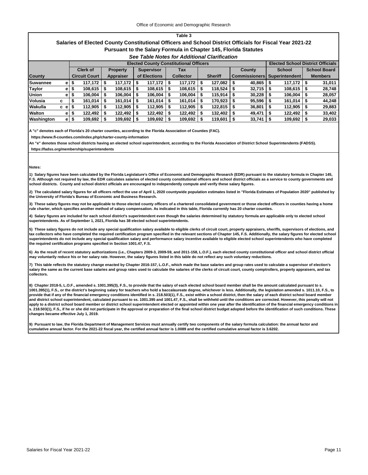#### **Salaries of Elected County Constitutional Officers and School District Officials for Fiscal Year 2021-22 Pursuant to the Salary Formula in Chapter 145, Florida Statutes**

#### *See Table Notes for Additional Clarification*

|               |      |    | <b>Elected County Constitutional Officers</b> |      |                 |   |                   |                  |                |                |         |                      |        |                       | <b>Elected School District Officials</b> |                |                     |  |
|---------------|------|----|-----------------------------------------------|------|-----------------|---|-------------------|------------------|----------------|----------------|---------|----------------------|--------|-----------------------|------------------------------------------|----------------|---------------------|--|
|               |      |    | <b>Clerk of</b>                               |      | <b>Property</b> |   | <b>Supervisor</b> |                  | <b>Tax</b>     |                |         |                      | County |                       | <b>School</b>                            |                | <b>School Board</b> |  |
| <b>County</b> |      |    | <b>Circuit Court</b>                          |      | Appraiser       |   | of Elections      | <b>Collector</b> |                | <b>Sheriff</b> |         | <b>Commissioners</b> |        | <b>Superintendent</b> |                                          | <b>Members</b> |                     |  |
| Suwannee      | e l  | S  | 117,172                                       | - 56 | 117,172         |   | 117,172           |                  | $117.172$ S    |                | 127.082 | - 5                  | 40.865 |                       | $117,172$   \$                           |                | 31,011              |  |
| <b>Taylor</b> | e l  | ъ  | 108,615                                       |      | 108,615         |   | 108,615           |                  | 108,615        | l S            | 118,524 | - 5                  | 32,715 |                       | 108,615                                  |                | 28,748              |  |
| <b>Union</b>  | e l  | э  | 106.004                                       |      | 106.004         |   | 106,004           | -5               | 106,004        |                | 115.914 | - 5                  | 30.228 |                       | 106,004                                  |                | 28,057              |  |
| Volusia       | c    |    | 161,014                                       | - 5  | 161,014         | S | 161,014           |                  | 161,014        | l S            | 170,923 | - 5                  | 95,596 |                       | $161,014$   \$                           |                | 44,248              |  |
| Wakulla       | c el |    | 112.905                                       |      | 112.905         |   | 112,905           |                  | 112,905        |                | 122,815 |                      | 36,801 |                       | 112,905                                  |                | 29,883              |  |
| <b>Walton</b> | e l  | s  | 122,492                                       | S    | 122,492         | 5 | 122,492           |                  | $122,492$ \ \$ |                | 132,402 | -S                   | 49,471 | 5                     | 122,492                                  | - 5            | 33,402              |  |
| Washington    | e.   | \$ | 109,692                                       |      | 109,692         |   | 109,692           |                  | $109,692$ \$   |                | 119,601 |                      | 33,741 |                       | 109,692                                  |                | 29,033              |  |

**A "c" denotes each of Florida's 20 charter counties, according to the Florida Association of Counties (FAC).**

 **https://www.fl-counties.com/index.php/charter-county-information**

**An "e" denotes those school districts having an elected school superintendent, according to the Florida Association of District School Superintendents (FADSS). https://fadss.org/membership/superintendents**

#### **Notes:**

**1) Salary figures have been calculated by the Florida Legislature's Office of Economic and Demographic Research (EDR) pursuant to the statutory formula in Chapter 145, F.S. Although not required by law, the EDR calculates salaries of elected county constitutional officers and school district officials as a service to county governments and school districts. County and school district officials are encouraged to independently compute and verify these salary figures.**

**2) The calculated salary figures for all officers reflect the use of April 1, 2020 countywide population estimates listed in "Florida Estimates of Population 2020" published by the University of Florida's Bureau of Economic and Business Research.**

**3) These salary figures may not be applicable to those elected county officers of a chartered consolidated government or those elected officers in counties having a home rule charter, which specifies another method of salary compensation. As indicated in this table, Florida currently has 20 charter counties.**

**4) Salary figures are included for each school district's superintendent even though the salaries determined by statutory formula are applicable only to elected school superintendents. As of September 1, 2021, Florida has 38 elected school superintendents.**

**5) These salary figures do not include any special qualification salary available to eligible clerks of circuit court, property appraisers, sheriffs, supervisors of elections, and tax collectors who have completed the required certification program specified in the relevant sections of Chapter 145, F.S. Additionally, the salary figures for elected school superintendents do not include any special qualification salary and performance salary incentive available to eligible elected school superintendents who have completed the required certification programs specified in Section 1001.47, F.S.**

**6) As the result of recent statutory authorizations (i.e., Chapters 2009-3, 2009-59, and 2011-158, L.O.F.), each elected county constitutional officer and school district official may voluntarily reduce his or her salary rate. However, the salary figures listed in this table do not reflect any such voluntary reductions.**

**7) This table reflects the statutory change enacted by Chapter 2016-157, L.O.F., which made the base salaries and group rates used to calculate a supervisor of election's salary the same as the current base salaries and group rates used to calculate the salaries of the clerks of circuit court, county comptrollers, property appraisers, and tax collectors.**

**8) Chapter 2018-5, L.O.F., amended s. 1001.395(3), F.S., to provide that the salary of each elected school board member shall be the amount calculated pursuant to s. 1001.395(1), F.S., or the district's beginning salary for teachers who hold a baccalaureate degree, whichever is less. Additionally, the legislation amended s. 1011.10, F.S., to provide that if any of the financial emergency conditions identified in s. 218.503(1), F.S., exist within a school district, then the salary of each district school board member**  .<br>and district school superintendent, calculated pursuant to ss. 1001.395 and 1001.47, F.S., shall be withheld until the conditions are corrected. However, this penalty will not **apply to a district school board member or district school superintendent elected or appointed within one year after the identification of the financial emergency conditions in s. 218.503(1), F.S., if he or she did not participate in the approval or preparation of the final school district budget adopted before the identification of such conditions. These changes became effective July 1, 2019.**

**9) Pursuant to law, the Florida Department of Management Services must annually certify two components of the salary formula calculation: the annual factor and cumulative annual factor. For the 2021-22 fiscal year, the certified annual factor is 1.0089 and the certified cumulative annual factor is 3.6202.**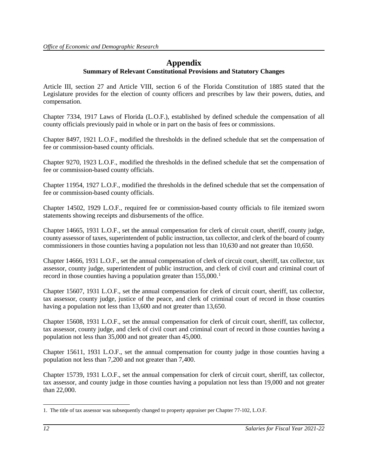# **Appendix**

# **Summary of Relevant Constitutional Provisions and Statutory Changes**

Article III, section 27 and Article VIII, section 6 of the Florida Constitution of 1885 stated that the Legislature provides for the election of county officers and prescribes by law their powers, duties, and compensation.

Chapter 7334, 1917 Laws of Florida (L.O.F.), established by defined schedule the compensation of all county officials previously paid in whole or in part on the basis of fees or commissions.

Chapter 8497, 1921 L.O.F., modified the thresholds in the defined schedule that set the compensation of fee or commission-based county officials.

Chapter 9270, 1923 L.O.F., modified the thresholds in the defined schedule that set the compensation of fee or commission-based county officials.

Chapter 11954, 1927 L.O.F., modified the thresholds in the defined schedule that set the compensation of fee or commission-based county officials.

Chapter 14502, 1929 L.O.F., required fee or commission-based county officials to file itemized sworn statements showing receipts and disbursements of the office.

Chapter 14665, 1931 L.O.F., set the annual compensation for clerk of circuit court, sheriff, county judge, county assessor of taxes, superintendent of public instruction, tax collector, and clerk of the board of county commissioners in those counties having a population not less than 10,630 and not greater than 10,650.

Chapter 14666, 1931 L.O.F., set the annual compensation of clerk of circuit court, sheriff, tax collector, tax assessor, county judge, superintendent of public instruction, and clerk of civil court and criminal court of record in those counties having a population greater than [1](#page-13-0)55,000.<sup>1</sup>

Chapter 15607, 1931 L.O.F., set the annual compensation for clerk of circuit court, sheriff, tax collector, tax assessor, county judge, justice of the peace, and clerk of criminal court of record in those counties having a population not less than 13,600 and not greater than 13,650.

Chapter 15608, 1931 L.O.F., set the annual compensation for clerk of circuit court, sheriff, tax collector, tax assessor, county judge, and clerk of civil court and criminal court of record in those counties having a population not less than 35,000 and not greater than 45,000.

Chapter 15611, 1931 L.O.F., set the annual compensation for county judge in those counties having a population not less than 7,200 and not greater than 7,400.

Chapter 15739, 1931 L.O.F., set the annual compensation for clerk of circuit court, sheriff, tax collector, tax assessor, and county judge in those counties having a population not less than 19,000 and not greater than 22,000.

<span id="page-13-0"></span> $\overline{a}$ 1. The title of tax assessor was subsequently changed to property appraiser per Chapter 77-102, L.O.F.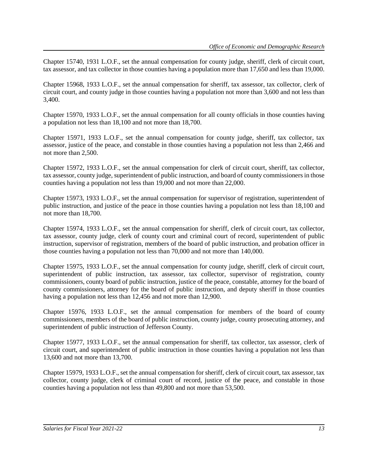Chapter 15740, 1931 L.O.F., set the annual compensation for county judge, sheriff, clerk of circuit court, tax assessor, and tax collector in those counties having a population more than 17,650 and less than 19,000.

Chapter 15968, 1933 L.O.F., set the annual compensation for sheriff, tax assessor, tax collector, clerk of circuit court, and county judge in those counties having a population not more than 3,600 and not less than 3,400.

Chapter 15970, 1933 L.O.F., set the annual compensation for all county officials in those counties having a population not less than 18,100 and not more than 18,700.

Chapter 15971, 1933 L.O.F., set the annual compensation for county judge, sheriff, tax collector, tax assessor, justice of the peace, and constable in those counties having a population not less than 2,466 and not more than 2,500.

Chapter 15972, 1933 L.O.F., set the annual compensation for clerk of circuit court, sheriff, tax collector, tax assessor, county judge, superintendent of public instruction, and board of county commissioners in those counties having a population not less than 19,000 and not more than 22,000.

Chapter 15973, 1933 L.O.F., set the annual compensation for supervisor of registration, superintendent of public instruction, and justice of the peace in those counties having a population not less than 18,100 and not more than 18,700.

Chapter 15974, 1933 L.O.F., set the annual compensation for sheriff, clerk of circuit court, tax collector, tax assessor, county judge, clerk of county court and criminal court of record, superintendent of public instruction, supervisor of registration, members of the board of public instruction, and probation officer in those counties having a population not less than 70,000 and not more than 140,000.

Chapter 15975, 1933 L.O.F., set the annual compensation for county judge, sheriff, clerk of circuit court, superintendent of public instruction, tax assessor, tax collector, supervisor of registration, county commissioners, county board of public instruction, justice of the peace, constable, attorney for the board of county commissioners, attorney for the board of public instruction, and deputy sheriff in those counties having a population not less than 12,456 and not more than 12,900.

Chapter 15976, 1933 L.O.F., set the annual compensation for members of the board of county commissioners, members of the board of public instruction, county judge, county prosecuting attorney, and superintendent of public instruction of Jefferson County.

Chapter 15977, 1933 L.O.F., set the annual compensation for sheriff, tax collector, tax assessor, clerk of circuit court, and superintendent of public instruction in those counties having a population not less than 13,600 and not more than 13,700.

Chapter 15979, 1933 L.O.F., set the annual compensation for sheriff, clerk of circuit court, tax assessor, tax collector, county judge, clerk of criminal court of record, justice of the peace, and constable in those counties having a population not less than 49,800 and not more than 53,500.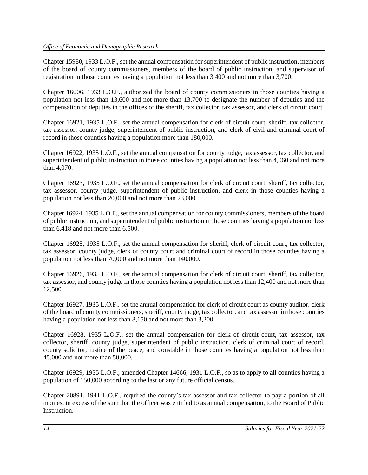Chapter 15980, 1933 L.O.F., set the annual compensation for superintendent of public instruction, members of the board of county commissioners, members of the board of public instruction, and supervisor of registration in those counties having a population not less than 3,400 and not more than 3,700.

Chapter 16006, 1933 L.O.F., authorized the board of county commissioners in those counties having a population not less than 13,600 and not more than 13,700 to designate the number of deputies and the compensation of deputies in the offices of the sheriff, tax collector, tax assessor, and clerk of circuit court.

Chapter 16921, 1935 L.O.F., set the annual compensation for clerk of circuit court, sheriff, tax collector, tax assessor, county judge, superintendent of public instruction, and clerk of civil and criminal court of record in those counties having a population more than 180,000.

Chapter 16922, 1935 L.O.F., set the annual compensation for county judge, tax assessor, tax collector, and superintendent of public instruction in those counties having a population not less than 4,060 and not more than 4,070.

Chapter 16923, 1935 L.O.F., set the annual compensation for clerk of circuit court, sheriff, tax collector, tax assessor, county judge, superintendent of public instruction, and clerk in those counties having a population not less than 20,000 and not more than 23,000.

Chapter 16924, 1935 L.O.F., set the annual compensation for county commissioners, members of the board of public instruction, and superintendent of public instruction in those counties having a population not less than 6,418 and not more than 6,500.

Chapter 16925, 1935 L.O.F., set the annual compensation for sheriff, clerk of circuit court, tax collector, tax assessor, county judge, clerk of county court and criminal court of record in those counties having a population not less than 70,000 and not more than 140,000.

Chapter 16926, 1935 L.O.F., set the annual compensation for clerk of circuit court, sheriff, tax collector, tax assessor, and county judge in those counties having a population not less than 12,400 and not more than 12,500.

Chapter 16927, 1935 L.O.F., set the annual compensation for clerk of circuit court as county auditor, clerk of the board of county commissioners, sheriff, county judge, tax collector, and tax assessor in those counties having a population not less than 3,150 and not more than 3,200.

Chapter 16928, 1935 L.O.F., set the annual compensation for clerk of circuit court, tax assessor, tax collector, sheriff, county judge, superintendent of public instruction, clerk of criminal court of record, county solicitor, justice of the peace, and constable in those counties having a population not less than 45,000 and not more than 50,000.

Chapter 16929, 1935 L.O.F., amended Chapter 14666, 1931 L.O.F., so as to apply to all counties having a population of 150,000 according to the last or any future official census.

Chapter 20891, 1941 L.O.F., required the county's tax assessor and tax collector to pay a portion of all monies, in excess of the sum that the officer was entitled to as annual compensation, to the Board of Public **Instruction**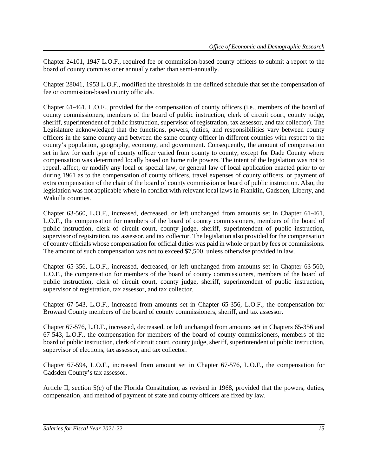Chapter 24101, 1947 L.O.F., required fee or commission-based county officers to submit a report to the board of county commissioner annually rather than semi-annually.

Chapter 28041, 1953 L.O.F., modified the thresholds in the defined schedule that set the compensation of fee or commission-based county officials.

Chapter 61-461, L.O.F., provided for the compensation of county officers (i.e., members of the board of county commissioners, members of the board of public instruction, clerk of circuit court, county judge, sheriff, superintendent of public instruction, supervisor of registration, tax assessor, and tax collector). The Legislature acknowledged that the functions, powers, duties, and responsibilities vary between county officers in the same county and between the same county officer in different counties with respect to the county's population, geography, economy, and government. Consequently, the amount of compensation set in law for each type of county officer varied from county to county, except for Dade County where compensation was determined locally based on home rule powers. The intent of the legislation was not to repeal, affect, or modify any local or special law, or general law of local application enacted prior to or during 1961 as to the compensation of county officers, travel expenses of county officers, or payment of extra compensation of the chair of the board of county commission or board of public instruction. Also, the legislation was not applicable where in conflict with relevant local laws in Franklin, Gadsden, Liberty, and Wakulla counties.

Chapter 63-560, L.O.F., increased, decreased, or left unchanged from amounts set in Chapter 61-461, L.O.F., the compensation for members of the board of county commissioners, members of the board of public instruction, clerk of circuit court, county judge, sheriff, superintendent of public instruction, supervisor of registration, tax assessor, and tax collector. The legislation also provided for the compensation of county officials whose compensation for official duties was paid in whole or part by fees or commissions. The amount of such compensation was not to exceed \$7,500, unless otherwise provided in law.

Chapter 65-356, L.O.F., increased, decreased, or left unchanged from amounts set in Chapter 63-560, L.O.F., the compensation for members of the board of county commissioners, members of the board of public instruction, clerk of circuit court, county judge, sheriff, superintendent of public instruction, supervisor of registration, tax assessor, and tax collector.

Chapter 67-543, L.O.F., increased from amounts set in Chapter 65-356, L.O.F., the compensation for Broward County members of the board of county commissioners, sheriff, and tax assessor.

Chapter 67-576, L.O.F., increased, decreased, or left unchanged from amounts set in Chapters 65-356 and 67-543, L.O.F., the compensation for members of the board of county commissioners, members of the board of public instruction, clerk of circuit court, county judge, sheriff, superintendent of public instruction, supervisor of elections, tax assessor, and tax collector.

Chapter 67-594, L.O.F., increased from amount set in Chapter 67-576, L.O.F., the compensation for Gadsden County's tax assessor.

Article II, section 5(c) of the Florida Constitution, as revised in 1968, provided that the powers, duties, compensation, and method of payment of state and county officers are fixed by law.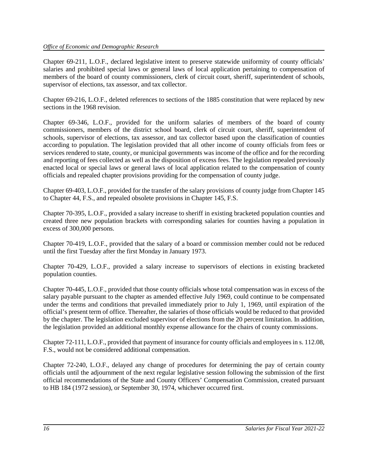Chapter 69-211, L.O.F., declared legislative intent to preserve statewide uniformity of county officials' salaries and prohibited special laws or general laws of local application pertaining to compensation of members of the board of county commissioners, clerk of circuit court, sheriff, superintendent of schools, supervisor of elections, tax assessor, and tax collector.

Chapter 69-216, L.O.F., deleted references to sections of the 1885 constitution that were replaced by new sections in the 1968 revision.

Chapter 69-346, L.O.F., provided for the uniform salaries of members of the board of county commissioners, members of the district school board, clerk of circuit court, sheriff, superintendent of schools, supervisor of elections, tax assessor, and tax collector based upon the classification of counties according to population. The legislation provided that all other income of county officials from fees or services rendered to state, county, or municipal governments was income of the office and for the recording and reporting of fees collected as well as the disposition of excess fees. The legislation repealed previously enacted local or special laws or general laws of local application related to the compensation of county officials and repealed chapter provisions providing for the compensation of county judge.

Chapter 69-403, L.O.F., provided for the transfer of the salary provisions of county judge from Chapter 145 to Chapter 44, F.S., and repealed obsolete provisions in Chapter 145, F.S.

Chapter 70-395, L.O.F., provided a salary increase to sheriff in existing bracketed population counties and created three new population brackets with corresponding salaries for counties having a population in excess of 300,000 persons.

Chapter 70-419, L.O.F., provided that the salary of a board or commission member could not be reduced until the first Tuesday after the first Monday in January 1973.

Chapter 70-429, L.O.F., provided a salary increase to supervisors of elections in existing bracketed population counties.

Chapter 70-445, L.O.F., provided that those county officials whose total compensation was in excess of the salary payable pursuant to the chapter as amended effective July 1969, could continue to be compensated under the terms and conditions that prevailed immediately prior to July 1, 1969, until expiration of the official's present term of office. Thereafter, the salaries of those officials would be reduced to that provided by the chapter. The legislation excluded supervisor of elections from the 20 percent limitation. In addition, the legislation provided an additional monthly expense allowance for the chairs of county commissions.

Chapter 72-111, L.O.F., provided that payment of insurance for county officials and employees in s. 112.08, F.S., would not be considered additional compensation.

Chapter 72-240, L.O.F., delayed any change of procedures for determining the pay of certain county officials until the adjournment of the next regular legislative session following the submission of the first official recommendations of the State and County Officers' Compensation Commission, created pursuant to HB 184 (1972 session), or September 30, 1974, whichever occurred first.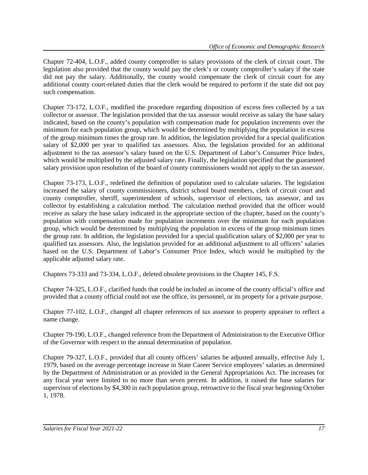Chapter 72-404, L.O.F., added county comptroller to salary provisions of the clerk of circuit court. The legislation also provided that the county would pay the clerk's or county comptroller's salary if the state did not pay the salary. Additionally, the county would compensate the clerk of circuit court for any additional county court-related duties that the clerk would be required to perform if the state did not pay such compensation.

Chapter 73-172, L.O.F., modified the procedure regarding disposition of excess fees collected by a tax collector or assessor. The legislation provided that the tax assessor would receive as salary the base salary indicated, based on the county's population with compensation made for population increments over the minimum for each population group, which would be determined by multiplying the population in excess of the group minimum times the group rate. In addition, the legislation provided for a special qualification salary of \$2,000 per year to qualified tax assessors. Also, the legislation provided for an additional adjustment to the tax assessor's salary based on the U.S. Department of Labor's Consumer Price Index, which would be multiplied by the adjusted salary rate. Finally, the legislation specified that the guaranteed salary provision upon resolution of the board of county commissioners would not apply to the tax assessor.

Chapter 73-173, L.O.F., redefined the definition of population used to calculate salaries. The legislation increased the salary of county commissioners, district school board members, clerk of circuit court and county comptroller, sheriff, superintendent of schools, supervisor of elections, tax assessor, and tax collector by establishing a calculation method. The calculation method provided that the officer would receive as salary the base salary indicated in the appropriate section of the chapter, based on the county's population with compensation made for population increments over the minimum for each population group, which would be determined by multiplying the population in excess of the group minimum times the group rate. In addition, the legislation provided for a special qualification salary of \$2,000 per year to qualified tax assessors. Also, the legislation provided for an additional adjustment to all officers' salaries based on the U.S. Department of Labor's Consumer Price Index, which would be multiplied by the applicable adjusted salary rate.

Chapters 73-333 and 73-334, L.O.F., deleted obsolete provisions in the Chapter 145, F.S.

Chapter 74-325, L.O.F., clarified funds that could be included as income of the county official's office and provided that a county official could not use the office, its personnel, or its property for a private purpose.

Chapter 77-102, L.O.F., changed all chapter references of tax assessor to property appraiser to reflect a name change.

Chapter 79-190, L.O.F., changed reference from the Department of Administration to the Executive Office of the Governor with respect to the annual determination of population.

Chapter 79-327, L.O.F., provided that all county officers' salaries be adjusted annually, effective July 1, 1979, based on the average percentage increase in State Career Service employees' salaries as determined by the Department of Administration or as provided in the General Appropriations Act. The increases for any fiscal year were limited to no more than seven percent. In addition, it raised the base salaries for supervisor of elections by \$4,300 in each population group, retroactive to the fiscal year beginning October 1, 1978.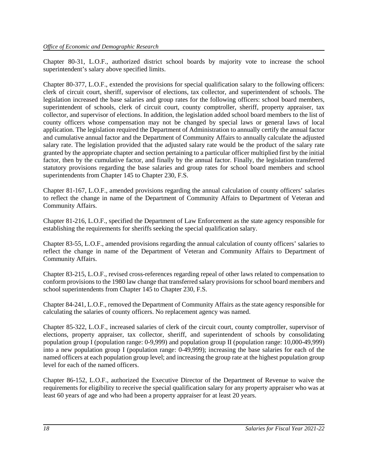Chapter 80-31, L.O.F., authorized district school boards by majority vote to increase the school superintendent's salary above specified limits.

Chapter 80-377, L.O.F., extended the provisions for special qualification salary to the following officers: clerk of circuit court, sheriff, supervisor of elections, tax collector, and superintendent of schools. The legislation increased the base salaries and group rates for the following officers: school board members, superintendent of schools, clerk of circuit court, county comptroller, sheriff, property appraiser, tax collector, and supervisor of elections. In addition, the legislation added school board members to the list of county officers whose compensation may not be changed by special laws or general laws of local application. The legislation required the Department of Administration to annually certify the annual factor and cumulative annual factor and the Department of Community Affairs to annually calculate the adjusted salary rate. The legislation provided that the adjusted salary rate would be the product of the salary rate granted by the appropriate chapter and section pertaining to a particular officer multiplied first by the initial factor, then by the cumulative factor, and finally by the annual factor. Finally, the legislation transferred statutory provisions regarding the base salaries and group rates for school board members and school superintendents from Chapter 145 to Chapter 230, F.S.

Chapter 81-167, L.O.F., amended provisions regarding the annual calculation of county officers' salaries to reflect the change in name of the Department of Community Affairs to Department of Veteran and Community Affairs.

Chapter 81-216, L.O.F., specified the Department of Law Enforcement as the state agency responsible for establishing the requirements for sheriffs seeking the special qualification salary.

Chapter 83-55, L.O.F., amended provisions regarding the annual calculation of county officers' salaries to reflect the change in name of the Department of Veteran and Community Affairs to Department of Community Affairs.

Chapter 83-215, L.O.F., revised cross-references regarding repeal of other laws related to compensation to conform provisions to the 1980 law change that transferred salary provisions for school board members and school superintendents from Chapter 145 to Chapter 230, F.S.

Chapter 84-241, L.O.F., removed the Department of Community Affairs as the state agency responsible for calculating the salaries of county officers. No replacement agency was named.

Chapter 85-322, L.O.F., increased salaries of clerk of the circuit court, county comptroller, supervisor of elections, property appraiser, tax collector, sheriff, and superintendent of schools by consolidating population group I (population range: 0-9,999) and population group II (population range: 10,000-49,999) into a new population group I (population range: 0-49,999); increasing the base salaries for each of the named officers at each population group level; and increasing the group rate at the highest population group level for each of the named officers.

Chapter 86-152, L.O.F., authorized the Executive Director of the Department of Revenue to waive the requirements for eligibility to receive the special qualification salary for any property appraiser who was at least 60 years of age and who had been a property appraiser for at least 20 years.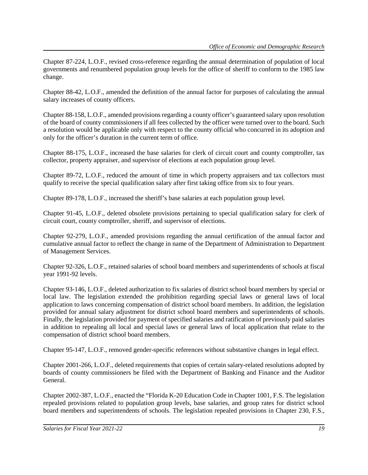Chapter 87-224, L.O.F., revised cross-reference regarding the annual determination of population of local governments and renumbered population group levels for the office of sheriff to conform to the 1985 law change.

Chapter 88-42, L.O.F., amended the definition of the annual factor for purposes of calculating the annual salary increases of county officers.

Chapter 88-158, L.O.F., amended provisions regarding a county officer's guaranteed salary upon resolution of the board of county commissioners if all fees collected by the officer were turned over to the board. Such a resolution would be applicable only with respect to the county official who concurred in its adoption and only for the officer's duration in the current term of office.

Chapter 88-175, L.O.F., increased the base salaries for clerk of circuit court and county comptroller, tax collector, property appraiser, and supervisor of elections at each population group level.

Chapter 89-72, L.O.F., reduced the amount of time in which property appraisers and tax collectors must qualify to receive the special qualification salary after first taking office from six to four years.

Chapter 89-178, L.O.F., increased the sheriff's base salaries at each population group level.

Chapter 91-45, L.O.F., deleted obsolete provisions pertaining to special qualification salary for clerk of circuit court, county comptroller, sheriff, and supervisor of elections.

Chapter 92-279, L.O.F., amended provisions regarding the annual certification of the annual factor and cumulative annual factor to reflect the change in name of the Department of Administration to Department of Management Services.

Chapter 92-326, L.O.F., retained salaries of school board members and superintendents of schools at fiscal year 1991-92 levels.

Chapter 93-146, L.O.F., deleted authorization to fix salaries of district school board members by special or local law. The legislation extended the prohibition regarding special laws or general laws of local application to laws concerning compensation of district school board members. In addition, the legislation provided for annual salary adjustment for district school board members and superintendents of schools. Finally, the legislation provided for payment of specified salaries and ratification of previously paid salaries in addition to repealing all local and special laws or general laws of local application that relate to the compensation of district school board members.

Chapter 95-147, L.O.F., removed gender-specific references without substantive changes in legal effect.

Chapter 2001-266, L.O.F., deleted requirements that copies of certain salary-related resolutions adopted by boards of county commissioners be filed with the Department of Banking and Finance and the Auditor General.

Chapter 2002-387, L.O.F., enacted the "Florida K-20 Education Code in Chapter 1001, F.S. The legislation repealed provisions related to population group levels, base salaries, and group rates for district school board members and superintendents of schools. The legislation repealed provisions in Chapter 230, F.S.,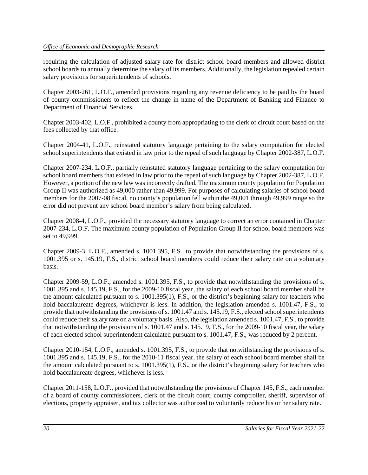requiring the calculation of adjusted salary rate for district school board members and allowed district school boards to annually determine the salary of its members. Additionally, the legislation repealed certain salary provisions for superintendents of schools.

Chapter 2003-261, L.O.F., amended provisions regarding any revenue deficiency to be paid by the board of county commissioners to reflect the change in name of the Department of Banking and Finance to Department of Financial Services.

Chapter 2003-402, L.O.F., prohibited a county from appropriating to the clerk of circuit court based on the fees collected by that office.

Chapter 2004-41, L.O.F., reinstated statutory language pertaining to the salary computation for elected school superintendents that existed in law prior to the repeal of such language by Chapter 2002-387, L.O.F.

Chapter 2007-234, L.O.F., partially reinstated statutory language pertaining to the salary computation for school board members that existed in law prior to the repeal of such language by Chapter 2002-387, L.O.F. However, a portion of the new law was incorrectly drafted. The maximum county population for Population Group II was authorized as 49,000 rather than 49,999. For purposes of calculating salaries of school board members for the 2007-08 fiscal, no county's population fell within the 49,001 through 49,999 range so the error did not prevent any school board member's salary from being calculated.

Chapter 2008-4, L.O.F., provided the necessary statutory language to correct an error contained in Chapter 2007-234, L.O.F. The maximum county population of Population Group II for school board members was set to 49,999.

Chapter 2009-3, L.O.F., amended s. 1001.395, F.S., to provide that notwithstanding the provisions of s. 1001.395 or s. 145.19, F.S., district school board members could reduce their salary rate on a voluntary basis.

Chapter 2009-59, L.O.F., amended s. 1001.395, F.S., to provide that notwithstanding the provisions of s. 1001.395 and s. 145.19, F.S., for the 2009-10 fiscal year, the salary of each school board member shall be the amount calculated pursuant to s. 1001.395(1), F.S., or the district's beginning salary for teachers who hold baccalaureate degrees, whichever is less. In addition, the legislation amended s. 1001.47, F.S., to provide that notwithstanding the provisions of s. 1001.47 and s. 145.19, F.S., elected school superintendents could reduce their salary rate on a voluntary basis. Also, the legislation amended s. 1001.47, F.S., to provide that notwithstanding the provisions of s. 1001.47 and s. 145.19, F.S., for the 2009-10 fiscal year, the salary of each elected school superintendent calculated pursuant to s. 1001.47, F.S., was reduced by 2 percent.

Chapter 2010-154, L.O.F., amended s. 1001.395, F.S., to provide that notwithstanding the provisions of s. 1001.395 and s. 145.19, F.S., for the 2010-11 fiscal year, the salary of each school board member shall be the amount calculated pursuant to s. 1001.395(1), F.S., or the district's beginning salary for teachers who hold baccalaureate degrees, whichever is less.

Chapter 2011-158, L.O.F., provided that notwithstanding the provisions of Chapter 145, F.S., each member of a board of county commissioners, clerk of the circuit court, county comptroller, sheriff, supervisor of elections, property appraiser, and tax collector was authorized to voluntarily reduce his or her salary rate.